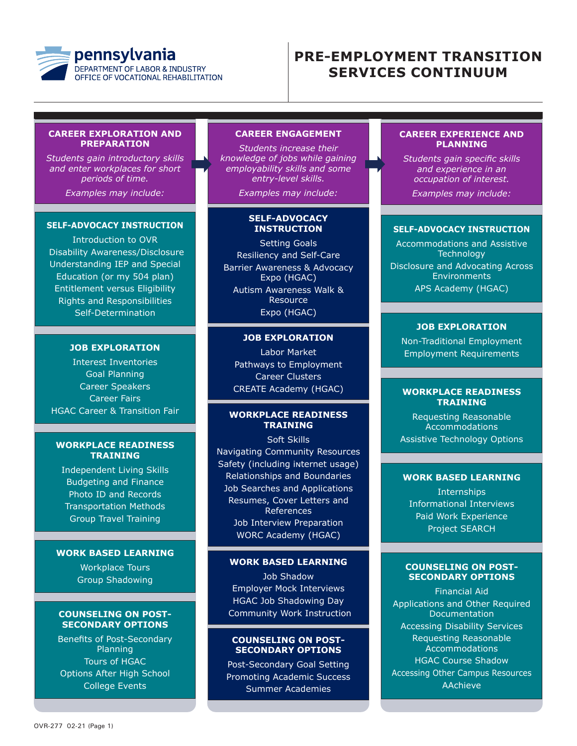

# **PRE-EMPLOYMENT TRANSITION SERVICES CONTINUUM**

#### **CAREER EXPLORATION AND PREPARATION**

*Students gain introductory skills and enter workplaces for short periods of time.*

*Examples may include:*

#### **SELF-ADVOCACY INSTRUCTION**

Introduction to OVR Disability Awareness/Disclosure Understanding IEP and Special Education (or my 504 plan) Entitlement versus Eligibility Rights and Responsibilities Self-Determination

## **JOB EXPLORATION**

Interest Inventories Goal Planning Career Speakers Career Fairs HGAC Career & Transition Fair

#### **WORKPLACE READINESS TRAINING**

Independent Living Skills Budgeting and Finance Photo ID and Records Transportation Methods Group Travel Training

#### **WORK BASED LEARNING**

Workplace Tours Group Shadowing

#### **COUNSELING ON POST-SECONDARY OPTIONS**

Benefits of Post-Secondary Planning Tours of HGAC Options After High School College Events

#### **CAREER ENGAGEMENT**

*Students increase their knowledge of jobs while gaining employability skills and some entry-level skills.*

*Examples may include:*

#### **SELF-ADVOCACY INSTRUCTION**

Setting Goals Resiliency and Self-Care Barrier Awareness & Advocacy Expo (HGAC) Autism Awareness Walk & Resource Expo (HGAC)

## **JOB EXPLORATION**

Labor Market Pathways to Employment Career Clusters CREATE Academy (HGAC)

## **WORKPLACE READINESS TRAINING**

Soft Skills Navigating Community Resources Safety (including internet usage) Relationships and Boundaries Job Searches and Applications Resumes, Cover Letters and References Job Interview Preparation WORC Academy (HGAC)

#### **WORK BASED LEARNING**

Job Shadow Employer Mock Interviews HGAC Job Shadowing Day Community Work Instruction

#### **COUNSELING ON POST-SECONDARY OPTIONS**

Post-Secondary Goal Setting Promoting Academic Success Summer Academies

#### **CAREER EXPERIENCE AND PLANNING**

*Students gain specific skills and experience in an occupation of interest. Examples may include:*

#### **SELF-ADVOCACY INSTRUCTION**

Accommodations and Assistive **Technology** Disclosure and Advocating Across **Environments** APS Academy (HGAC)

#### **JOB EXPLORATION**

Non-Traditional Employment Employment Requirements

#### **WORKPLACE READINESS TRAINING**

Requesting Reasonable **Accommodations** Assistive Technology Options

## **WORK BASED LEARNING**

**Internships** Informational Interviews Paid Work Experience Project SEARCH

#### **COUNSELING ON POST-SECONDARY OPTIONS**

Financial Aid Applications and Other Required **Documentation** Accessing Disability Services Requesting Reasonable Accommodations HGAC Course Shadow Accessing Other Campus Resources AAchieve